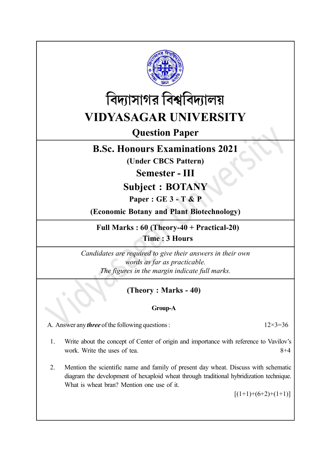



# Question Paper

## B.Sc. Honours Examinations 2021

(Under CBCS Pattern)

Semester - III

Subject : BOTANY

Paper : GE 3 - T & P

(Economic Botany and Plant Biotechnology)

Full Marks : 60 (Theory-40 + Practical-20) Time : 3 Hours

Candidates are required to give their answers in their own words as far as practicable. The figures in the margin indicate full marks.

## (Theory : Marks - 40)

## Group-A

A. Answer any *three* of the following questions :  $12 \times 3 = 36$ 

- 1. Write about the concept of Center of origin and importance with reference to Vavilov's work. Write the uses of tea.  $8+4$
- 2. Mention the scientific name and family of present day wheat. Discuss with schematic diagram the development of hexaploid wheat through traditional hybridization technique. What is wheat bran? Mention one use of it.

 $[(1+1)+(6+2)+(1+1)]$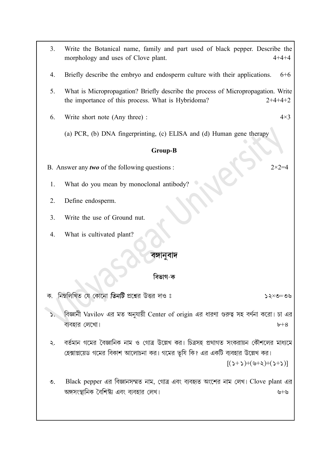- 3. Write the Botanical name, family and part used of black pepper. Describe the morphology and uses of Clove plant. 4+4+4
- 4. Briefly describe the embryo and endosperm culture with their applications. 6+6
- 5. What is Micropropagation? Briefly describe the process of Micropropagation. Write the importance of this process. What is Hybridoma? 2+4+4+2

6. Write short note (Any three) :  $4 \times 3$ 

(a) PCR, (b) DNA fingerprinting, (c) ELISA and (d) Human gene therapy

#### Group-B

- B. Answer any *two* of the following questions :  $2 \times 2 = 4$ 
	- 1. What do you mean by monoclonal antibody?
- 2. Define endosperm.
- 3. Write the use of Ground nut.
- 4. What is cultivated plant?

### বঙ্গানবাদ

### বিভাগ-ক

নিম্নলিখিত যে কোনো তিনটি প্রশ্নের উত্তর দাও ঃ

- বিজ্ঞানী Vavilov এর মত অনুযায়ী Center of origin এর ধারণা গুরুত্ব সহ বর্ণনা করো। চা এর ব্যবহার লেখো।  $b+8$
- বর্তমান গমের বৈজ্ঞানিক নাম ও গোত্র উল্লেখ কর। চিত্রসহ প্রথাগত সংকরায়ন কৌশলের মাধ্যমে  $\lambda$ . হেক্সাপ্লয়েড গমের বিকাশ আলোচনা কর। গমের ভূষি কি? এর একটি ব্যবহার উল্লেখ কর।

 $[(2+2)+(3+3)+(2+3)]$ 

Black pepper এর বিজ্ঞানসম্মত নাম, গোত্র এবং ব্যবহৃত অংশের নাম লেখ। Clove plant এর  $\mathcal{O}$ . অঙ্গসংস্থানিক বৈশিষ্ট্য এবং ব্যবহার লেখ। ত $+$ ত

 $20 = 2 \times 52$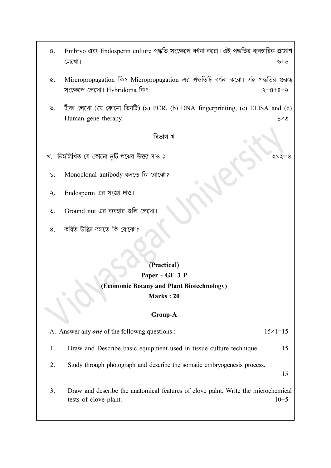- Embryo এবং Endosperm culture পদ্ধতি সংক্ষেপে বর্ণনা করো। এই পদ্ধতির ব্যবহারিক প্রয়োগ 8. লেখো। +
- Mircropropagation কি? Micropropagation এর পদ্ধতিটি বর্ণনা করো। এই পদ্ধতির গুরুত্ব  $\alpha$ . সংক্ষেপে লেখো। Hybridoma কি?
- টীকা লেখো (যে কোনো তিনটি) (a) PCR, (b) DNA fingerprinting, (c) ELISA and (d)  $\mathcal{P}$ Human gene therapy.  $8 \times 6$

১ $\times$ ২ $=$ ৪

### বিভাগ-খ

- খ. নিম্নলিখিত যে কোনো *দুটি* প্রশ্নের উত্তর দাও ঃ
	- Monoclonal antibody  $\mathbf{S}$ .
	- Endosperm এর সংজ্ঞা দাও।  $\lambda$ .
- $\mathcal{O}$ . Ground nut এর ব্যবহার গুলি লেখো।
- কৰ্ষিত উদ্ভিদ বলতে কি বোঝো? 8.

## (Practical) Paper - GE 3 P (Economic Botany and Plant Biotechnology) Marks : 20

### Group-A

A. Answer any **one** of the followng questions :  $15 \times 1 = 15$ 1. Draw and Describe basic equipment used in tissue culture technique. 15 2. Study through photograph and describe the somatic embryogenesis process. 15 3. Draw and describe the anatomical features of clove palnt. Write the microchemical tests of clove plant.  $10+5$